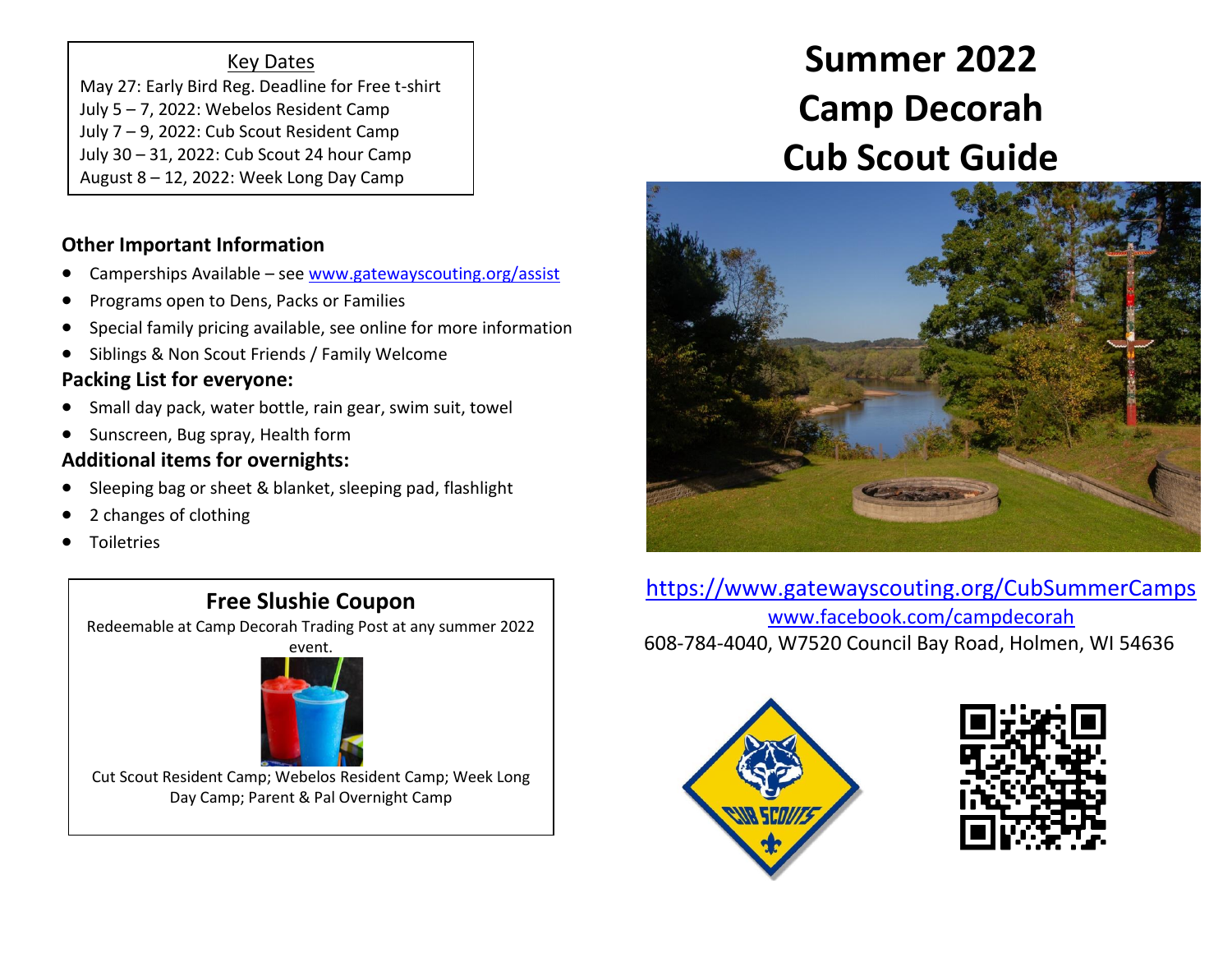#### Key Dates

May 27: Early Bird Reg. Deadline for Free t-shirt July 5 – 7, 2022: Webelos Resident Camp July 7 – 9, 2022: Cub Scout Resident Camp July 30 – 31, 2022: Cub Scout 24 hour Camp August 8 – 12, 2022: Week Long Day Camp

#### **Other Important Information**

- Camperships Available see [www.gatewayscouting.org/assist](http://www.gatewayscouting.org/assist)
- Programs open to Dens, Packs or Families
- Special family pricing available, see online for more information
- Siblings & Non Scout Friends / Family Welcome

# **Packing List for everyone:**

- Small day pack, water bottle, rain gear, swim suit, towel
- Sunscreen, Bug spray, Health form

# **Additional items for overnights:**

- Sleeping bag or sheet & blanket, sleeping pad, flashlight
- 2 changes of clothing
- **Toiletries**

# **Free Slushie Coupon**

Redeemable at Camp Decorah Trading Post at any summer 2022





Cut Scout Resident Camp; Webelos Resident Camp; Week Long Day Camp; Parent & Pal Overnight Camp

# **Summer 2022 Camp Decorah Cub Scout Guide**



<https://www.gatewayscouting.org/CubSummerCamps> [www.facebook.com/campdecorah](http://www.facebook.com/campdecorah) 608-784-4040, W7520 Council Bay Road, Holmen, WI 54636